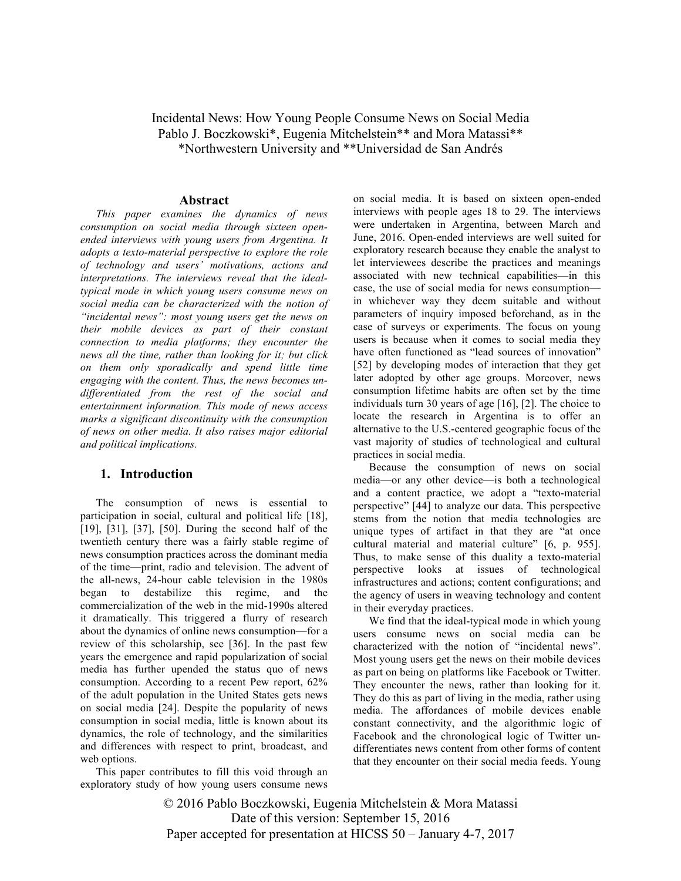# Incidental News: How Young People Consume News on Social Media Pablo J. Boczkowski\*, Eugenia Mitchelstein\*\* and Mora Matassi\*\* \*Northwestern University and \*\*Universidad de San Andrés

#### **Abstract**

*This paper examines the dynamics of news consumption on social media through sixteen openended interviews with young users from Argentina. It adopts a texto-material perspective to explore the role of technology and users' motivations, actions and interpretations. The interviews reveal that the idealtypical mode in which young users consume news on social media can be characterized with the notion of "incidental news": most young users get the news on their mobile devices as part of their constant connection to media platforms; they encounter the news all the time, rather than looking for it; but click on them only sporadically and spend little time engaging with the content. Thus, the news becomes undifferentiated from the rest of the social and entertainment information. This mode of news access marks a significant discontinuity with the consumption of news on other media. It also raises major editorial and political implications.*

#### **1. Introduction**

The consumption of news is essential to participation in social, cultural and political life [18], [19], [31], [37], [50]. During the second half of the twentieth century there was a fairly stable regime of news consumption practices across the dominant media of the time—print, radio and television. The advent of the all-news, 24-hour cable television in the 1980s began to destabilize this regime, and the commercialization of the web in the mid-1990s altered it dramatically. This triggered a flurry of research about the dynamics of online news consumption—for a review of this scholarship, see [36]. In the past few years the emergence and rapid popularization of social media has further upended the status quo of news consumption. According to a recent Pew report, 62% of the adult population in the United States gets news on social media [24]. Despite the popularity of news consumption in social media, little is known about its dynamics, the role of technology, and the similarities and differences with respect to print, broadcast, and web options.

This paper contributes to fill this void through an exploratory study of how young users consume news

on social media. It is based on sixteen open-ended interviews with people ages 18 to 29. The interviews were undertaken in Argentina, between March and June, 2016. Open-ended interviews are well suited for exploratory research because they enable the analyst to let interviewees describe the practices and meanings associated with new technical capabilities—in this case, the use of social media for news consumption in whichever way they deem suitable and without parameters of inquiry imposed beforehand, as in the case of surveys or experiments. The focus on young users is because when it comes to social media they have often functioned as "lead sources of innovation" [52] by developing modes of interaction that they get later adopted by other age groups. Moreover, news consumption lifetime habits are often set by the time individuals turn 30 years of age [16], [2]. The choice to locate the research in Argentina is to offer an alternative to the U.S.-centered geographic focus of the vast majority of studies of technological and cultural practices in social media.

Because the consumption of news on social media—or any other device—is both a technological and a content practice, we adopt a "texto-material perspective" [44] to analyze our data. This perspective stems from the notion that media technologies are unique types of artifact in that they are "at once cultural material and material culture" [6, p. 955]. Thus, to make sense of this duality a texto-material perspective looks at issues of technological infrastructures and actions; content configurations; and the agency of users in weaving technology and content in their everyday practices.

We find that the ideal-typical mode in which young users consume news on social media can be characterized with the notion of "incidental news". Most young users get the news on their mobile devices as part on being on platforms like Facebook or Twitter. They encounter the news, rather than looking for it. They do this as part of living in the media, rather using media. The affordances of mobile devices enable constant connectivity, and the algorithmic logic of Facebook and the chronological logic of Twitter undifferentiates news content from other forms of content that they encounter on their social media feeds. Young

© 2016 Pablo Boczkowski, Eugenia Mitchelstein & Mora Matassi Date of this version: September 15, 2016 Paper accepted for presentation at HICSS 50 – January 4-7, 2017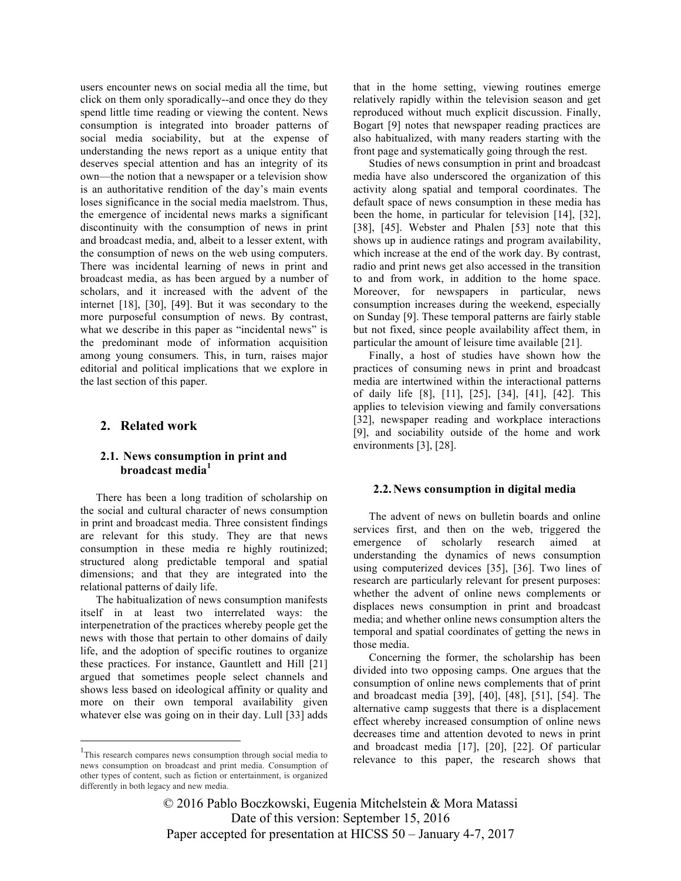users encounter news on social media all the time, but click on them only sporadically--and once they do they spend little time reading or viewing the content. News consumption is integrated into broader patterns of social media sociability, but at the expense of understanding the news report as a unique entity that deserves special attention and has an integrity of its own—the notion that a newspaper or a television show is an authoritative rendition of the day's main events loses significance in the social media maelstrom. Thus, the emergence of incidental news marks a significant discontinuity with the consumption of news in print and broadcast media, and, albeit to a lesser extent, with the consumption of news on the web using computers. There was incidental learning of news in print and broadcast media, as has been argued by a number of scholars, and it increased with the advent of the internet [18], [30], [49]. But it was secondary to the more purposeful consumption of news. By contrast, what we describe in this paper as "incidental news" is the predominant mode of information acquisition among young consumers. This, in turn, raises major editorial and political implications that we explore in the last section of this paper.

#### **2. Related work**

## **2.1. News consumption in print and broadcast media<sup>1</sup>**

There has been a long tradition of scholarship on the social and cultural character of news consumption in print and broadcast media. Three consistent findings are relevant for this study. They are that news consumption in these media re highly routinized; structured along predictable temporal and spatial dimensions; and that they are integrated into the relational patterns of daily life.

The habitualization of news consumption manifests itself in at least two interrelated ways: the interpenetration of the practices whereby people get the news with those that pertain to other domains of daily life, and the adoption of specific routines to organize these practices. For instance, Gauntlett and Hill [21] argued that sometimes people select channels and shows less based on ideological affinity or quality and more on their own temporal availability given whatever else was going on in their day. Lull [33] adds that in the home setting, viewing routines emerge relatively rapidly within the television season and get reproduced without much explicit discussion. Finally, Bogart [9] notes that newspaper reading practices are also habitualized, with many readers starting with the front page and systematically going through the rest.

Studies of news consumption in print and broadcast media have also underscored the organization of this activity along spatial and temporal coordinates. The default space of news consumption in these media has been the home, in particular for television [14], [32], [38], [45]. Webster and Phalen [53] note that this shows up in audience ratings and program availability, which increase at the end of the work day. By contrast, radio and print news get also accessed in the transition to and from work, in addition to the home space. Moreover, for newspapers in particular, news consumption increases during the weekend, especially on Sunday [9]. These temporal patterns are fairly stable but not fixed, since people availability affect them, in particular the amount of leisure time available [21].

Finally, a host of studies have shown how the practices of consuming news in print and broadcast media are intertwined within the interactional patterns of daily life [8], [11], [25], [34], [41], [42]. This applies to television viewing and family conversations [32], newspaper reading and workplace interactions [9], and sociability outside of the home and work environments [3], [28].

#### **2.2.News consumption in digital media**

The advent of news on bulletin boards and online services first, and then on the web, triggered the emergence of scholarly research aimed at understanding the dynamics of news consumption using computerized devices [35], [36]. Two lines of research are particularly relevant for present purposes: whether the advent of online news complements or displaces news consumption in print and broadcast media; and whether online news consumption alters the temporal and spatial coordinates of getting the news in those media.

Concerning the former, the scholarship has been divided into two opposing camps. One argues that the consumption of online news complements that of print and broadcast media [39], [40], [48], [51], [54]. The alternative camp suggests that there is a displacement effect whereby increased consumption of online news decreases time and attention devoted to news in print and broadcast media [17], [20], [22]. Of particular relevance to this paper, the research shows that

© 2016 Pablo Boczkowski, Eugenia Mitchelstein & Mora Matassi Date of this version: September 15, 2016 Paper accepted for presentation at HICSS 50 – January 4-7, 2017

<sup>&</sup>lt;sup>1</sup>This research compares news consumption through social media to news consumption on broadcast and print media. Consumption of other types of content, such as fiction or entertainment, is organized differently in both legacy and new media.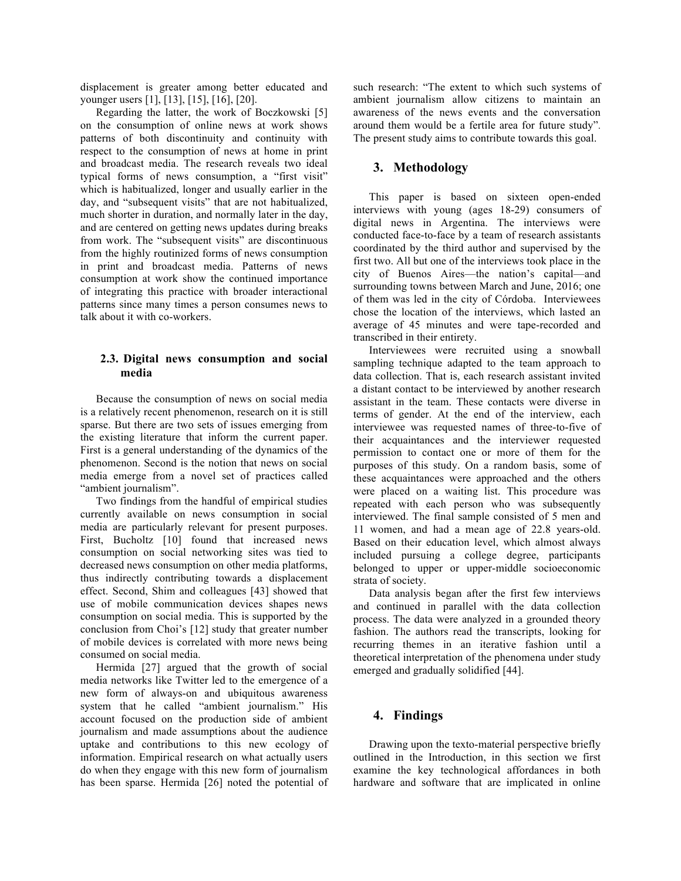displacement is greater among better educated and younger users [1], [13], [15], [16], [20].

Regarding the latter, the work of Boczkowski [5] on the consumption of online news at work shows patterns of both discontinuity and continuity with respect to the consumption of news at home in print and broadcast media. The research reveals two ideal typical forms of news consumption, a "first visit" which is habitualized, longer and usually earlier in the day, and "subsequent visits" that are not habitualized, much shorter in duration, and normally later in the day, and are centered on getting news updates during breaks from work. The "subsequent visits" are discontinuous from the highly routinized forms of news consumption in print and broadcast media. Patterns of news consumption at work show the continued importance of integrating this practice with broader interactional patterns since many times a person consumes news to talk about it with co-workers.

### **2.3. Digital news consumption and social media**

Because the consumption of news on social media is a relatively recent phenomenon, research on it is still sparse. But there are two sets of issues emerging from the existing literature that inform the current paper. First is a general understanding of the dynamics of the phenomenon. Second is the notion that news on social media emerge from a novel set of practices called "ambient journalism".

Two findings from the handful of empirical studies currently available on news consumption in social media are particularly relevant for present purposes. First, Bucholtz [10] found that increased news consumption on social networking sites was tied to decreased news consumption on other media platforms, thus indirectly contributing towards a displacement effect. Second, Shim and colleagues [43] showed that use of mobile communication devices shapes news consumption on social media. This is supported by the conclusion from Choi's [12] study that greater number of mobile devices is correlated with more news being consumed on social media.

Hermida [27] argued that the growth of social media networks like Twitter led to the emergence of a new form of always-on and ubiquitous awareness system that he called "ambient journalism." His account focused on the production side of ambient journalism and made assumptions about the audience uptake and contributions to this new ecology of information. Empirical research on what actually users do when they engage with this new form of journalism has been sparse. Hermida [26] noted the potential of

such research: "The extent to which such systems of ambient journalism allow citizens to maintain an awareness of the news events and the conversation around them would be a fertile area for future study". The present study aims to contribute towards this goal.

## **3. Methodology**

This paper is based on sixteen open-ended interviews with young (ages 18-29) consumers of digital news in Argentina. The interviews were conducted face-to-face by a team of research assistants coordinated by the third author and supervised by the first two. All but one of the interviews took place in the city of Buenos Aires—the nation's capital—and surrounding towns between March and June, 2016; one of them was led in the city of Córdoba. Interviewees chose the location of the interviews, which lasted an average of 45 minutes and were tape-recorded and transcribed in their entirety.

Interviewees were recruited using a snowball sampling technique adapted to the team approach to data collection. That is, each research assistant invited a distant contact to be interviewed by another research assistant in the team. These contacts were diverse in terms of gender. At the end of the interview, each interviewee was requested names of three-to-five of their acquaintances and the interviewer requested permission to contact one or more of them for the purposes of this study. On a random basis, some of these acquaintances were approached and the others were placed on a waiting list. This procedure was repeated with each person who was subsequently interviewed. The final sample consisted of 5 men and 11 women, and had a mean age of 22.8 years-old. Based on their education level, which almost always included pursuing a college degree, participants belonged to upper or upper-middle socioeconomic strata of society.

Data analysis began after the first few interviews and continued in parallel with the data collection process. The data were analyzed in a grounded theory fashion. The authors read the transcripts, looking for recurring themes in an iterative fashion until a theoretical interpretation of the phenomena under study emerged and gradually solidified [44].

# **4. Findings**

Drawing upon the texto-material perspective briefly outlined in the Introduction, in this section we first examine the key technological affordances in both hardware and software that are implicated in online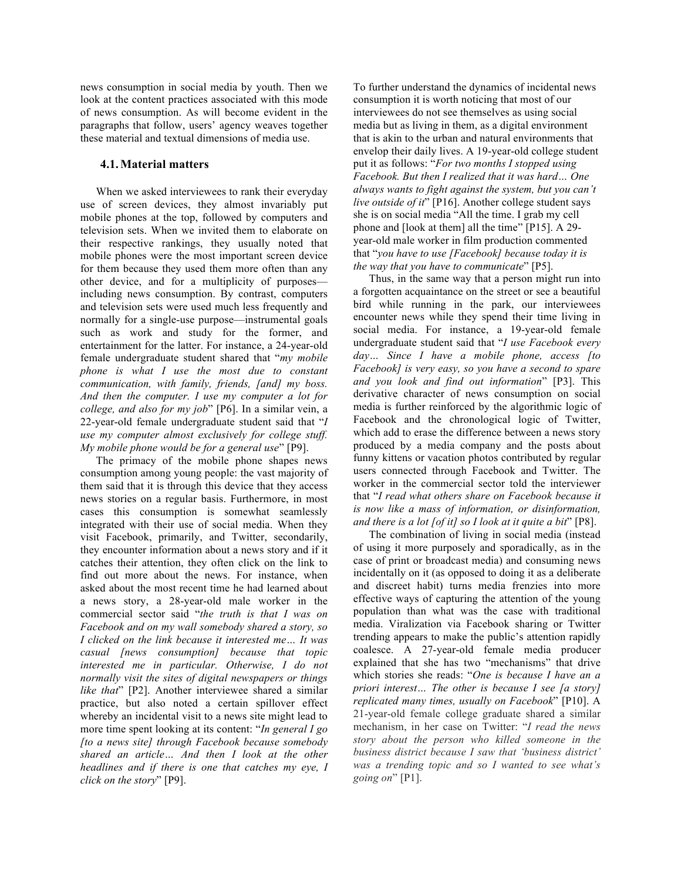news consumption in social media by youth. Then we look at the content practices associated with this mode of news consumption. As will become evident in the paragraphs that follow, users' agency weaves together these material and textual dimensions of media use.

#### **4.1.Material matters**

When we asked interviewees to rank their everyday use of screen devices, they almost invariably put mobile phones at the top, followed by computers and television sets. When we invited them to elaborate on their respective rankings, they usually noted that mobile phones were the most important screen device for them because they used them more often than any other device, and for a multiplicity of purposes including news consumption. By contrast, computers and television sets were used much less frequently and normally for a single-use purpose—instrumental goals such as work and study for the former, and entertainment for the latter. For instance, a 24-year-old female undergraduate student shared that "*my mobile phone is what I use the most due to constant communication, with family, friends, [and] my boss. And then the computer. I use my computer a lot for college, and also for my job*" [P6]. In a similar vein, a 22-year-old female undergraduate student said that "*I use my computer almost exclusively for college stuff. My mobile phone would be for a general use*" [P9].

The primacy of the mobile phone shapes news consumption among young people: the vast majority of them said that it is through this device that they access news stories on a regular basis. Furthermore, in most cases this consumption is somewhat seamlessly integrated with their use of social media. When they visit Facebook, primarily, and Twitter, secondarily, they encounter information about a news story and if it catches their attention, they often click on the link to find out more about the news. For instance, when asked about the most recent time he had learned about a news story, a 28-year-old male worker in the commercial sector said "*the truth is that I was on Facebook and on my wall somebody shared a story, so I clicked on the link because it interested me… It was casual [news consumption] because that topic interested me in particular. Otherwise, I do not normally visit the sites of digital newspapers or things like that*" [P2]. Another interviewee shared a similar practice, but also noted a certain spillover effect whereby an incidental visit to a news site might lead to more time spent looking at its content: "*In general I go [to a news site] through Facebook because somebody shared an article… And then I look at the other headlines and if there is one that catches my eye, I click on the story*" [P9].

To further understand the dynamics of incidental news consumption it is worth noticing that most of our interviewees do not see themselves as using social media but as living in them, as a digital environment that is akin to the urban and natural environments that envelop their daily lives. A 19-year-old college student put it as follows: "*For two months I stopped using Facebook. But then I realized that it was hard… One always wants to fight against the system, but you can't live outside of it*" [P16]. Another college student says she is on social media "All the time. I grab my cell phone and [look at them] all the time" [P15]. A 29 year-old male worker in film production commented that "*you have to use [Facebook] because today it is the way that you have to communicate*" [P5].

Thus, in the same way that a person might run into a forgotten acquaintance on the street or see a beautiful bird while running in the park, our interviewees encounter news while they spend their time living in social media. For instance, a 19-year-old female undergraduate student said that "*I use Facebook every day… Since I have a mobile phone, access [to Facebook] is very easy, so you have a second to spare and you look and find out information*" [P3]. This derivative character of news consumption on social media is further reinforced by the algorithmic logic of Facebook and the chronological logic of Twitter, which add to erase the difference between a news story produced by a media company and the posts about funny kittens or vacation photos contributed by regular users connected through Facebook and Twitter. The worker in the commercial sector told the interviewer that "*I read what others share on Facebook because it is now like a mass of information, or disinformation, and there is a lot [of it] so I look at it quite a bit*" [P8].

The combination of living in social media (instead of using it more purposely and sporadically, as in the case of print or broadcast media) and consuming news incidentally on it (as opposed to doing it as a deliberate and discreet habit) turns media frenzies into more effective ways of capturing the attention of the young population than what was the case with traditional media. Viralization via Facebook sharing or Twitter trending appears to make the public's attention rapidly coalesce. A 27-year-old female media producer explained that she has two "mechanisms" that drive which stories she reads: "*One is because I have an a priori interest… The other is because I see [a story] replicated many times, usually on Facebook*" [P10]. A 21-year-old female college graduate shared a similar mechanism, in her case on Twitter: "*I read the news story about the person who killed someone in the business district because I saw that 'business district' was a trending topic and so I wanted to see what's going on*" [P1].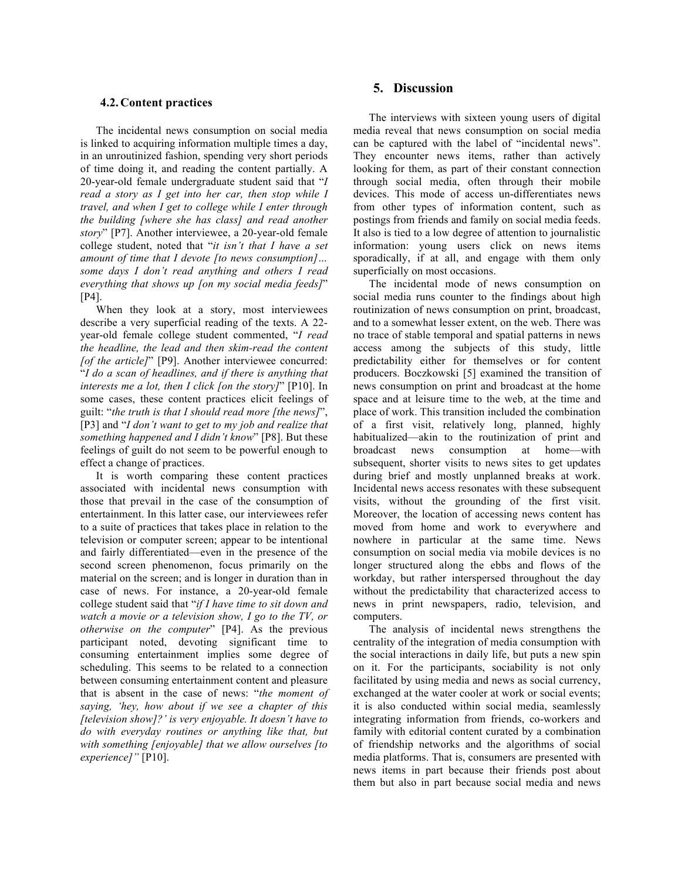#### **4.2.Content practices**

The incidental news consumption on social media is linked to acquiring information multiple times a day, in an unroutinized fashion, spending very short periods of time doing it, and reading the content partially. A 20-year-old female undergraduate student said that "*I read a story as I get into her car, then stop while I travel, and when I get to college while I enter through the building [where she has class] and read another story*" [P7]. Another interviewee, a 20-year-old female college student, noted that "*it isn't that I have a set amount of time that I devote [to news consumption]… some days I don't read anything and others I read everything that shows up [on my social media feeds]*" [P4].

When they look at a story, most interviewees describe a very superficial reading of the texts. A 22 year-old female college student commented, "*I read the headline, the lead and then skim-read the content [of the article]*" [P9]. Another interviewee concurred: "*I do a scan of headlines, and if there is anything that interests me a lot, then I click [on the story]*" [P10]. In some cases, these content practices elicit feelings of guilt: "*the truth is that I should read more [the news]*", [P3] and "*I don't want to get to my job and realize that something happened and I didn't know*" [P8]. But these feelings of guilt do not seem to be powerful enough to effect a change of practices.

It is worth comparing these content practices associated with incidental news consumption with those that prevail in the case of the consumption of entertainment. In this latter case, our interviewees refer to a suite of practices that takes place in relation to the television or computer screen; appear to be intentional and fairly differentiated—even in the presence of the second screen phenomenon, focus primarily on the material on the screen; and is longer in duration than in case of news. For instance, a 20-year-old female college student said that "*if I have time to sit down and watch a movie or a television show, I go to the TV, or otherwise on the computer*" [P4]. As the previous participant noted, devoting significant time to consuming entertainment implies some degree of scheduling. This seems to be related to a connection between consuming entertainment content and pleasure that is absent in the case of news: "*the moment of saying, 'hey, how about if we see a chapter of this [television show]?' is very enjoyable. It doesn't have to do with everyday routines or anything like that, but with something [enjoyable] that we allow ourselves [to experience]"* [P10].

## **5. Discussion**

The interviews with sixteen young users of digital media reveal that news consumption on social media can be captured with the label of "incidental news". They encounter news items, rather than actively looking for them, as part of their constant connection through social media, often through their mobile devices. This mode of access un-differentiates news from other types of information content, such as postings from friends and family on social media feeds. It also is tied to a low degree of attention to journalistic information: young users click on news items sporadically, if at all, and engage with them only superficially on most occasions.

The incidental mode of news consumption on social media runs counter to the findings about high routinization of news consumption on print, broadcast, and to a somewhat lesser extent, on the web. There was no trace of stable temporal and spatial patterns in news access among the subjects of this study, little predictability either for themselves or for content producers. Boczkowski [5] examined the transition of news consumption on print and broadcast at the home space and at leisure time to the web, at the time and place of work. This transition included the combination of a first visit, relatively long, planned, highly habitualized—akin to the routinization of print and broadcast news consumption at home—with subsequent, shorter visits to news sites to get updates during brief and mostly unplanned breaks at work. Incidental news access resonates with these subsequent visits, without the grounding of the first visit. Moreover, the location of accessing news content has moved from home and work to everywhere and nowhere in particular at the same time. News consumption on social media via mobile devices is no longer structured along the ebbs and flows of the workday, but rather interspersed throughout the day without the predictability that characterized access to news in print newspapers, radio, television, and computers.

The analysis of incidental news strengthens the centrality of the integration of media consumption with the social interactions in daily life, but puts a new spin on it. For the participants, sociability is not only facilitated by using media and news as social currency, exchanged at the water cooler at work or social events; it is also conducted within social media, seamlessly integrating information from friends, co-workers and family with editorial content curated by a combination of friendship networks and the algorithms of social media platforms. That is, consumers are presented with news items in part because their friends post about them but also in part because social media and news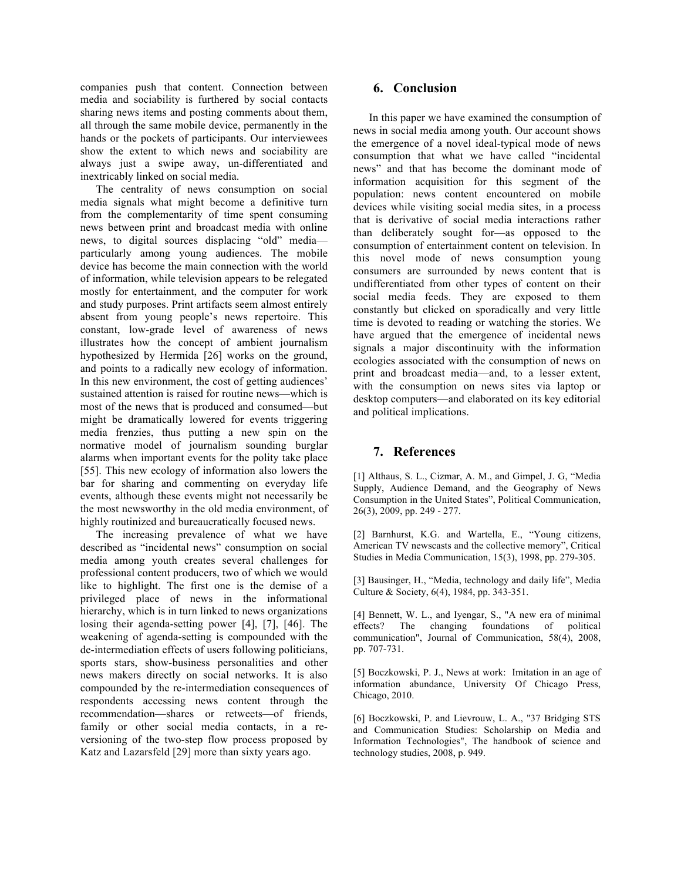companies push that content. Connection between media and sociability is furthered by social contacts sharing news items and posting comments about them, all through the same mobile device, permanently in the hands or the pockets of participants. Our interviewees show the extent to which news and sociability are always just a swipe away, un-differentiated and inextricably linked on social media.

The centrality of news consumption on social media signals what might become a definitive turn from the complementarity of time spent consuming news between print and broadcast media with online news, to digital sources displacing "old" media particularly among young audiences. The mobile device has become the main connection with the world of information, while television appears to be relegated mostly for entertainment, and the computer for work and study purposes. Print artifacts seem almost entirely absent from young people's news repertoire. This constant, low-grade level of awareness of news illustrates how the concept of ambient journalism hypothesized by Hermida [26] works on the ground, and points to a radically new ecology of information. In this new environment, the cost of getting audiences' sustained attention is raised for routine news—which is most of the news that is produced and consumed—but might be dramatically lowered for events triggering media frenzies, thus putting a new spin on the normative model of journalism sounding burglar alarms when important events for the polity take place [55]. This new ecology of information also lowers the bar for sharing and commenting on everyday life events, although these events might not necessarily be the most newsworthy in the old media environment, of highly routinized and bureaucratically focused news.

The increasing prevalence of what we have described as "incidental news" consumption on social media among youth creates several challenges for professional content producers, two of which we would like to highlight. The first one is the demise of a privileged place of news in the informational hierarchy, which is in turn linked to news organizations losing their agenda-setting power [4], [7], [46]. The weakening of agenda-setting is compounded with the de-intermediation effects of users following politicians, sports stars, show-business personalities and other news makers directly on social networks. It is also compounded by the re-intermediation consequences of respondents accessing news content through the recommendation—shares or retweets—of friends, family or other social media contacts, in a reversioning of the two-step flow process proposed by Katz and Lazarsfeld [29] more than sixty years ago.

# **6. Conclusion**

In this paper we have examined the consumption of news in social media among youth. Our account shows the emergence of a novel ideal-typical mode of news consumption that what we have called "incidental news" and that has become the dominant mode of information acquisition for this segment of the population: news content encountered on mobile devices while visiting social media sites, in a process that is derivative of social media interactions rather than deliberately sought for—as opposed to the consumption of entertainment content on television. In this novel mode of news consumption young consumers are surrounded by news content that is undifferentiated from other types of content on their social media feeds. They are exposed to them constantly but clicked on sporadically and very little time is devoted to reading or watching the stories. We have argued that the emergence of incidental news signals a major discontinuity with the information ecologies associated with the consumption of news on print and broadcast media—and, to a lesser extent, with the consumption on news sites via laptop or desktop computers—and elaborated on its key editorial and political implications.

# **7. References**

[1] Althaus, S. L., Cizmar, A. M., and Gimpel, J. G, "Media Supply, Audience Demand, and the Geography of News Consumption in the United States", Political Communication, 26(3), 2009, pp. 249 - 277.

[2] Barnhurst, K.G. and Wartella, E., "Young citizens, American TV newscasts and the collective memory", Critical Studies in Media Communication, 15(3), 1998, pp. 279-305.

[3] Bausinger, H., "Media, technology and daily life", Media Culture & Society, 6(4), 1984, pp. 343-351.

[4] Bennett, W. L., and Iyengar, S., "A new era of minimal effects? The changing foundations of political communication", Journal of Communication, 58(4), 2008, pp. 707-731.

[5] Boczkowski, P. J., News at work: Imitation in an age of information abundance, University Of Chicago Press, Chicago, 2010.

[6] Boczkowski, P. and Lievrouw, L. A., "37 Bridging STS and Communication Studies: Scholarship on Media and Information Technologies", The handbook of science and technology studies, 2008, p. 949.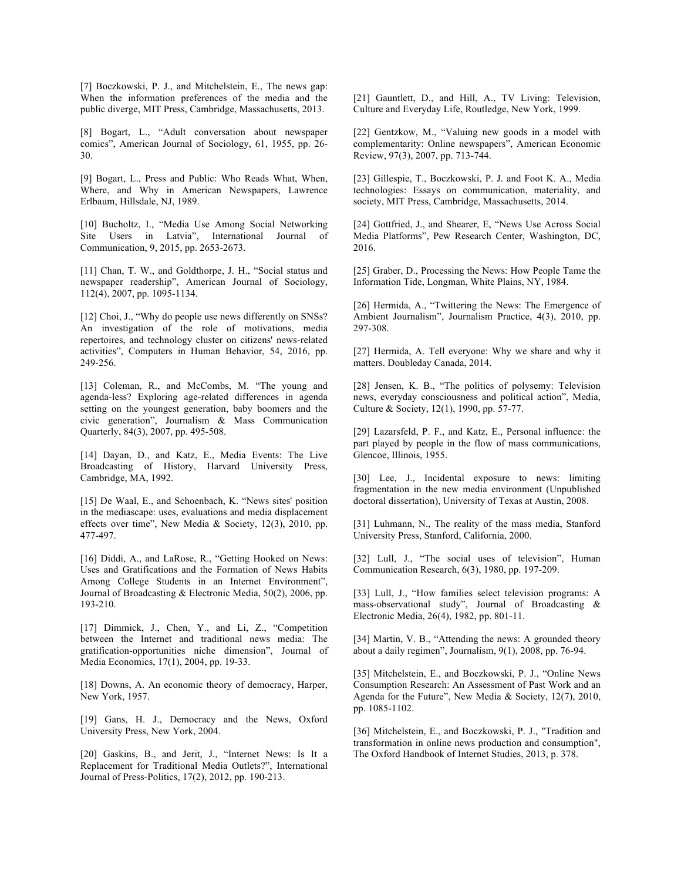[7] Boczkowski, P. J., and Mitchelstein, E., The news gap: When the information preferences of the media and the public diverge, MIT Press, Cambridge, Massachusetts, 2013.

[8] Bogart, L., "Adult conversation about newspaper comics", American Journal of Sociology, 61, 1955, pp. 26- 30.

[9] Bogart, L., Press and Public: Who Reads What, When, Where, and Why in American Newspapers, Lawrence Erlbaum, Hillsdale, NJ, 1989.

[10] Bucholtz, I., "Media Use Among Social Networking Site Users in Latvia", International Journal of Communication, 9, 2015, pp. 2653-2673.

[11] Chan, T. W., and Goldthorpe, J. H., "Social status and newspaper readership", American Journal of Sociology, 112(4), 2007, pp. 1095-1134.

[12] Choi, J., "Why do people use news differently on SNSs? An investigation of the role of motivations, media repertoires, and technology cluster on citizens' news-related activities", Computers in Human Behavior, 54, 2016, pp. 249-256.

[13] Coleman, R., and McCombs, M. "The young and agenda-less? Exploring age-related differences in agenda setting on the youngest generation, baby boomers and the civic generation", Journalism & Mass Communication Quarterly, 84(3), 2007, pp. 495-508.

[14] Dayan, D., and Katz, E., Media Events: The Live Broadcasting of History, Harvard University Press, Cambridge, MA, 1992.

[15] De Waal, E., and Schoenbach, K. "News sites' position in the mediascape: uses, evaluations and media displacement effects over time", New Media & Society, 12(3), 2010, pp. 477-497.

[16] Diddi, A., and LaRose, R., "Getting Hooked on News: Uses and Gratifications and the Formation of News Habits Among College Students in an Internet Environment", Journal of Broadcasting & Electronic Media, 50(2), 2006, pp. 193-210.

[17] Dimmick, J., Chen, Y., and Li, Z., "Competition between the Internet and traditional news media: The gratification-opportunities niche dimension", Journal of Media Economics, 17(1), 2004, pp. 19-33.

[18] Downs, A. An economic theory of democracy, Harper, New York, 1957.

[19] Gans, H. J., Democracy and the News, Oxford University Press, New York, 2004.

[20] Gaskins, B., and Jerit, J., "Internet News: Is It a Replacement for Traditional Media Outlets?", International Journal of Press-Politics, 17(2), 2012, pp. 190-213.

[21] Gauntlett, D., and Hill, A., TV Living: Television, Culture and Everyday Life, Routledge, New York, 1999.

[22] Gentzkow, M., "Valuing new goods in a model with complementarity: Online newspapers", American Economic Review, 97(3), 2007, pp. 713-744.

[23] Gillespie, T., Boczkowski, P. J. and Foot K. A., Media technologies: Essays on communication, materiality, and society, MIT Press, Cambridge, Massachusetts, 2014.

[24] Gottfried, J., and Shearer, E, "News Use Across Social Media Platforms", Pew Research Center, Washington, DC, 2016.

[25] Graber, D., Processing the News: How People Tame the Information Tide, Longman, White Plains, NY, 1984.

[26] Hermida, A., "Twittering the News: The Emergence of Ambient Journalism", Journalism Practice, 4(3), 2010, pp. 297-308.

[27] Hermida, A. Tell everyone: Why we share and why it matters. Doubleday Canada, 2014.

[28] Jensen, K. B., "The politics of polysemy: Television news, everyday consciousness and political action", Media, Culture & Society, 12(1), 1990, pp. 57-77.

[29] Lazarsfeld, P. F., and Katz, E., Personal influence: the part played by people in the flow of mass communications, Glencoe, Illinois, 1955.

[30] Lee, J., Incidental exposure to news: limiting fragmentation in the new media environment (Unpublished doctoral dissertation), University of Texas at Austin, 2008.

[31] Luhmann, N., The reality of the mass media, Stanford University Press, Stanford, California, 2000.

[32] Lull, J., "The social uses of television", Human Communication Research, 6(3), 1980, pp. 197-209.

[33] Lull, J., "How families select television programs: A mass-observational study", Journal of Broadcasting & Electronic Media, 26(4), 1982, pp. 801-11.

[34] Martin, V. B., "Attending the news: A grounded theory about a daily regimen", Journalism, 9(1), 2008, pp. 76-94.

[35] Mitchelstein, E., and Boczkowski, P. J., "Online News Consumption Research: An Assessment of Past Work and an Agenda for the Future", New Media & Society, 12(7), 2010, pp. 1085-1102.

[36] Mitchelstein, E., and Boczkowski, P. J., "Tradition and transformation in online news production and consumption", The Oxford Handbook of Internet Studies, 2013, p. 378.